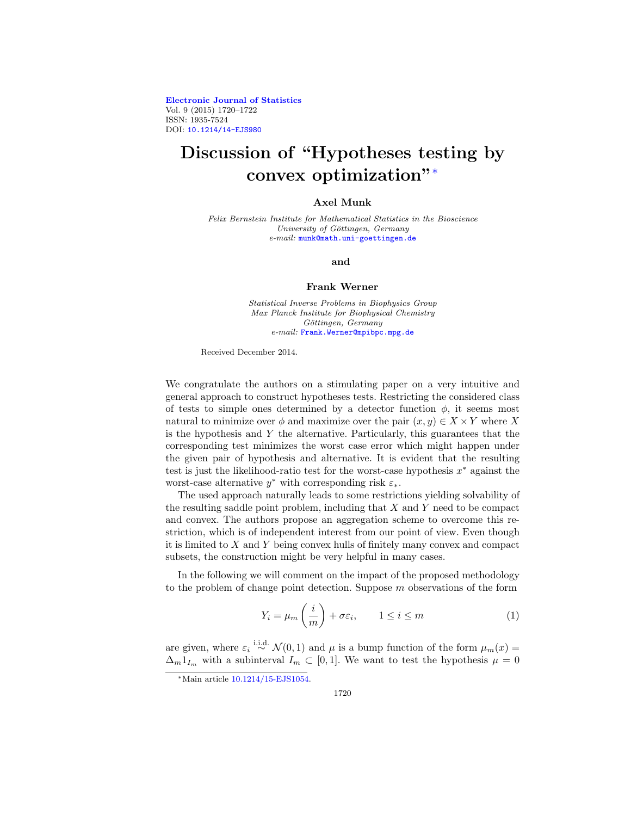**[Electronic Journal of Statistics](http://projecteuclid.org/ejs)** Vol. 9 (2015) 1720–1722 ISSN: 1935-7524 DOI: [10.1214/14-EJS980](http://dx.doi.org/10.1214/14-EJS980)

# **Discussion of "Hypotheses testing by convex optimization"**[∗](#page-0-0)

## **Axel Munk**

Felix Bernstein Institute for Mathematical Statistics in the Bioscience University of Göttingen, Germany e-mail: [munk@math.uni-goettingen.de](mailto:munk@math.uni-goettingen.de)

#### **and**

### **Frank Werner**

Statistical Inverse Problems in Biophysics Group Max Planck Institute for Biophysical Chemistry Göttingen, Germany e-mail: [Frank.Werner@mpibpc.mpg.de](mailto:Frank.Werner@mpibpc.mpg.de)

Received December 2014.

We congratulate the authors on a stimulating paper on a very intuitive and general approach to construct hypotheses tests. Restricting the considered class of tests to simple ones determined by a detector function  $\phi$ , it seems most natural to minimize over  $\phi$  and maximize over the pair  $(x, y) \in X \times Y$  where X is the hypothesis and  $Y$  the alternative. Particularly, this guarantees that the corresponding test minimizes the worst case error which might happen under the given pair of hypothesis and alternative. It is evident that the resulting test is just the likelihood-ratio test for the worst-case hypothesis  $x^*$  against the worst-case alternative  $y^*$  with corresponding risk  $\varepsilon_*$ .

The used approach naturally leads to some restrictions yielding solvability of the resulting saddle point problem, including that  $X$  and  $Y$  need to be compact and convex. The authors propose an aggregation scheme to overcome this restriction, which is of independent interest from our point of view. Even though it is limited to X and Y being convex hulls of finitely many convex and compact subsets, the construction might be very helpful in many cases.

In the following we will comment on the impact of the proposed methodology to the problem of change point detection. Suppose  $m$  observations of the form

<span id="page-0-1"></span>
$$
Y_i = \mu_m \left(\frac{i}{m}\right) + \sigma \varepsilon_i, \qquad 1 \le i \le m \tag{1}
$$

are given, where  $\varepsilon_i \stackrel{\text{i.i.d.}}{\sim} \mathcal{N}(0,1)$  and  $\mu$  is a bump function of the form  $\mu_m(x) =$  $\Delta_m 1_{I_m}$  with a subinterval  $I_m \subset [0,1]$ . We want to test the hypothesis  $\mu = 0$ 

<span id="page-0-0"></span><sup>∗</sup>Main article [10.1214/15-EJS1054.](http://dx.doi.org/10.1214/15-EJS1054)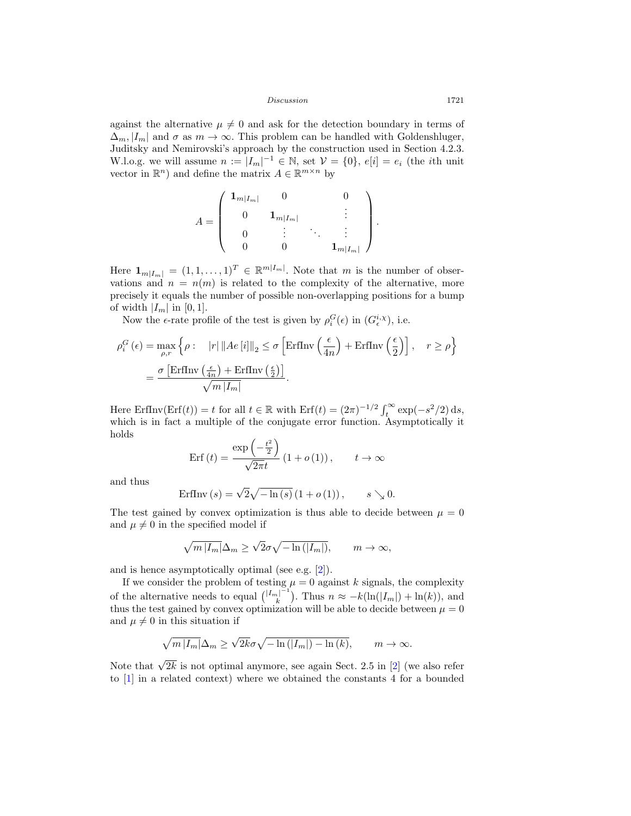Discussion 1721

against the alternative  $\mu \neq 0$  and ask for the detection boundary in terms of  $\Delta_m, |I_m|$  and  $\sigma$  as  $m \to \infty$ . This problem can be handled with Goldenshluger, Juditsky and Nemirovski's approach by the construction used in Section 4.2.3. W.l.o.g. we will assume  $n := |I_m|^{-1} \in \mathbb{N}$ , set  $\mathcal{V} = \{0\}$ ,  $e[i] = e_i$  (the *i*th unit vector in  $\mathbb{R}^n$ ) and define the matrix  $A \in \mathbb{R}^{m \times n}$  by

$$
A = \left(\begin{array}{cccc} \mathbf{1}_{m|I_m|} & 0 & 0 \\ 0 & \mathbf{1}_{m|I_m|} & & \vdots \\ 0 & \vdots & \ddots & \vdots \\ 0 & 0 & \mathbf{1}_{m|I_m|} \end{array}\right).
$$

Here  $\mathbf{1}_{m|I_m|} = (1,1,\ldots,1)^T \in \mathbb{R}^{m|I_m|}$ . Note that m is the number of observations and  $n = n(m)$  is related to the complexity of the alternative, more precisely it equals the number of possible non-overlapping positions for a bump of width  $|I_m|$  in [0, 1].

Now the  $\epsilon$ -rate profile of the test is given by  $\rho_i^G(\epsilon)$  in  $(G_{\epsilon}^{i,\chi})$ , i.e.

$$
\rho_i^G(\epsilon) = \max_{\rho, r} \left\{ \rho : \quad |r| \left\| A e[i] \right\|_2 \le \sigma \left[ \text{ErfInv}\left( \frac{\epsilon}{4n} \right) + \text{ErfInv}\left( \frac{\epsilon}{2} \right) \right], \quad r \ge \rho \right\}
$$

$$
= \frac{\sigma \left[ \text{ErfInv}\left( \frac{\epsilon}{4n} \right) + \text{ErfInv}\left( \frac{\epsilon}{2} \right) \right]}{\sqrt{m |I_m|}}.
$$

Here ErfInv(Erf(t)) = t for all  $t \in \mathbb{R}$  with  $\text{Erf}(t) = (2\pi)^{-1/2} \int_t^{\infty} \exp(-s^2/2) \,ds$ , which is in fact a multiple of the conjugate error function. Asymptotically it holds

$$
Erf(t) = \frac{\exp\left(-\frac{t^2}{2}\right)}{\sqrt{2\pi}t} (1 + o(1)), \qquad t \to \infty
$$

and thus

$$
\text{ErfInv}(s) = \sqrt{2}\sqrt{-\ln(s)}\left(1 + o(1)\right), \qquad s \searrow 0.
$$

The test gained by convex optimization is thus able to decide between  $\mu = 0$ and  $\mu \neq 0$  in the specified model if

$$
\sqrt{m\,|I_m|}\Delta_m\geq \sqrt{2}\sigma \sqrt{-\ln\left(\left|I_m\right|\right)},\qquad m\to\infty,
$$

and is hence asymptotically optimal (see e.g. [\[2](#page-2-0)]).

If we consider the problem of testing  $\mu = 0$  against k signals, the complexity of the alternative needs to equal  $\binom{|I_m|^{-1}}{k}$  $\binom{n}{k}$ . Thus  $n \approx -k(\ln(|I_m|) + \ln(k))$ , and thus the test gained by convex optimization will be able to decide between  $\mu = 0$ and  $\mu \neq 0$  in this situation if

$$
\sqrt{m|I_m|}\Delta_m \ge \sqrt{2k}\sigma\sqrt{-\ln(|I_m|) - \ln(k)}, \qquad m \to \infty.
$$

Note that  $\sqrt{2k}$  is not optimal anymore, see again Sect. 2.5 in [\[2\]](#page-2-0) (we also refer to [\[1\]](#page-2-1) in a related context) where we obtained the constants 4 for a bounded